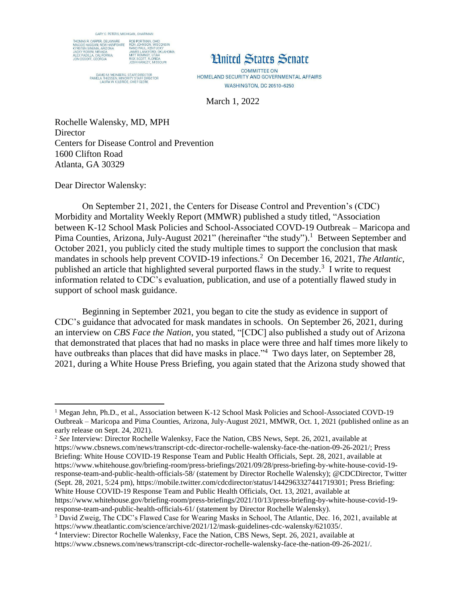

DAVID M. WEINBERG, STAFF DIRECTOR<br>PAMELA THIESSEN, MINORITY STAFF DIRECTOR<br>LAURA W. KILBRIDE, CHIEF CLERK



**COMMITTEE ON** HOMELAND SECURITY AND GOVERNMENTAL AFFAIRS **WASHINGTON, DC 20510-6250** 

March 1, 2022

Rochelle Walensky, MD, MPH **Director** Centers for Disease Control and Prevention 1600 Clifton Road Atlanta, GA 30329

Dear Director Walensky:

On September 21, 2021, the Centers for Disease Control and Prevention's (CDC) Morbidity and Mortality Weekly Report (MMWR) published a study titled, "Association between K-12 School Mask Policies and School-Associated COVD-19 Outbreak – Maricopa and Pima Counties, Arizona, July-August 2021" (hereinafter "the study").<sup>1</sup> Between September and October 2021, you publicly cited the study multiple times to support the conclusion that mask mandates in schools help prevent COVID-19 infections. <sup>2</sup> On December 16, 2021, *The Atlantic,*  published an article that highlighted several purported flaws in the study.<sup>3</sup> I write to request information related to CDC's evaluation, publication, and use of a potentially flawed study in support of school mask guidance.

Beginning in September 2021, you began to cite the study as evidence in support of CDC's guidance that advocated for mask mandates in schools. On September 26, 2021, during an interview on *CBS Face the Nation*, you stated, "[CDC] also published a study out of Arizona that demonstrated that places that had no masks in place were three and half times more likely to have outbreaks than places that did have masks in place."<sup>4</sup> Two days later, on September 28, 2021, during a White House Press Briefing, you again stated that the Arizona study showed that

 $\overline{\phantom{a}}$ <sup>1</sup> Megan Jehn, Ph.D., et al., Association between K-12 School Mask Policies and School-Associated COVD-19 Outbreak – Maricopa and Pima Counties, Arizona, July-August 2021, MMWR, Oct. 1, 2021 (published online as an early release on Sept. 24, 2021).

<sup>2</sup> *See* Interview: Director Rochelle Walenksy, Face the Nation, CBS News, Sept. 26, 2021, available at https://www.cbsnews.com/news/transcript-cdc-director-rochelle-walensky-face-the-nation-09-26-2021/; Press Briefing: White House COVID-19 Response Team and Public Health Officials, Sept. 28, 2021, available at https://www.whitehouse.gov/briefing-room/press-briefings/2021/09/28/press-briefing-by-white-house-covid-19 response-team-and-public-health-officials-58/ (statement by Director Rochelle Walensky); @CDCDirector, Twitter (Sept. 28, 2021, 5:24 pm), https://mobile.twitter.com/cdcdirector/status/1442963327441719301; Press Briefing: White House COVID-19 Response Team and Public Health Officials, Oct. 13, 2021, available at https://www.whitehouse.gov/briefing-room/press-briefings/2021/10/13/press-briefing-by-white-house-covid-19-

response-team-and-public-health-officials-61/ (statement by Director Rochelle Walensky).

<sup>3</sup> David Zweig, The CDC's Flawed Case for Wearing Masks in School, The Atlantic, Dec. 16, 2021, available at https://www.theatlantic.com/science/archive/2021/12/mask-guidelines-cdc-walensky/621035/.

<sup>4</sup> Interview: Director Rochelle Walenksy, Face the Nation, CBS News, Sept. 26, 2021, available at https://www.cbsnews.com/news/transcript-cdc-director-rochelle-walensky-face-the-nation-09-26-2021/.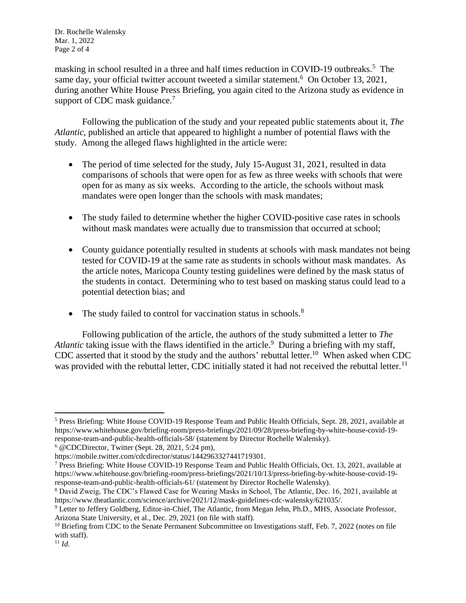Dr. Rochelle Walensky Mar. 1, 2022 Page 2 of 4

masking in school resulted in a three and half times reduction in COVID-19 outbreaks.<sup>5</sup> The same day, your official twitter account tweeted a similar statement.<sup>6</sup> On October 13, 2021, during another White House Press Briefing, you again cited to the Arizona study as evidence in support of CDC mask guidance.<sup>7</sup>

Following the publication of the study and your repeated public statements about it, *The Atlantic*, published an article that appeared to highlight a number of potential flaws with the study. Among the alleged flaws highlighted in the article were:

- The period of time selected for the study, July 15-August 31, 2021, resulted in data comparisons of schools that were open for as few as three weeks with schools that were open for as many as six weeks. According to the article, the schools without mask mandates were open longer than the schools with mask mandates;
- The study failed to determine whether the higher COVID-positive case rates in schools without mask mandates were actually due to transmission that occurred at school;
- County guidance potentially resulted in students at schools with mask mandates not being tested for COVID-19 at the same rate as students in schools without mask mandates. As the article notes, Maricopa County testing guidelines were defined by the mask status of the students in contact. Determining who to test based on masking status could lead to a potential detection bias; and
- The study failed to control for vaccination status in schools. $8$

Following publication of the article, the authors of the study submitted a letter to *The*  Atlantic taking issue with the flaws identified in the article.<sup>9</sup> During a briefing with my staff, CDC asserted that it stood by the study and the authors' rebuttal letter.<sup>10</sup> When asked when CDC was provided with the rebuttal letter, CDC initially stated it had not received the rebuttal letter.<sup>11</sup>

 $\overline{\phantom{a}}$ <sup>5</sup> Press Briefing: White House COVID-19 Response Team and Public Health Officials, Sept. 28, 2021, available at https://www.whitehouse.gov/briefing-room/press-briefings/2021/09/28/press-briefing-by-white-house-covid-19 response-team-and-public-health-officials-58/ (statement by Director Rochelle Walensky).

<sup>6</sup> @CDCDirector, Twitter (Sept. 28, 2021, 5:24 pm),

https://mobile.twitter.com/cdcdirector/status/1442963327441719301.

<sup>7</sup> Press Briefing: White House COVID-19 Response Team and Public Health Officials, Oct. 13, 2021, available at https://www.whitehouse.gov/briefing-room/press-briefings/2021/10/13/press-briefing-by-white-house-covid-19 response-team-and-public-health-officials-61/ (statement by Director Rochelle Walensky).

<sup>8</sup> David Zweig, The CDC's Flawed Case for Wearing Masks in School, The Atlantic, Dec. 16, 2021, available at https://www.theatlantic.com/science/archive/2021/12/mask-guidelines-cdc-walensky/621035/.

<sup>9</sup> Letter to Jeffery Goldberg, Editor-in-Chief, The Atlantic, from Megan Jehn, Ph.D., MHS, Associate Professor, Arizona State University, et al., Dec. 29, 2021 (on file with staff).

<sup>&</sup>lt;sup>10</sup> Briefing from CDC to the Senate Permanent Subcommittee on Investigations staff, Feb. 7, 2022 (notes on file with staff).

<sup>11</sup> *Id.*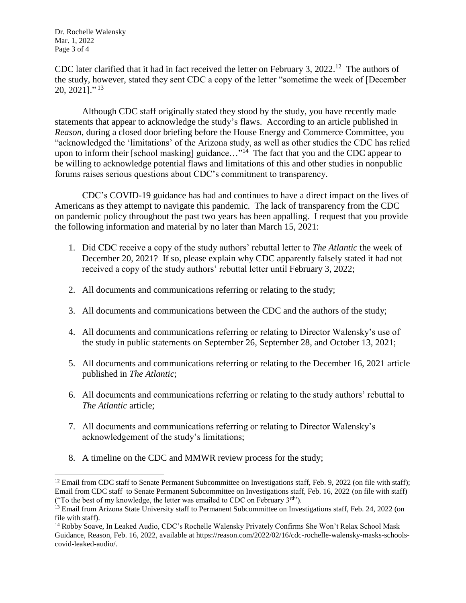Dr. Rochelle Walensky Mar. 1, 2022 Page 3 of 4

 $\overline{a}$ 

CDC later clarified that it had in fact received the letter on February 3,  $2022$ <sup>12</sup> The authors of the study, however, stated they sent CDC a copy of the letter "sometime the week of [December 20, 2021]." 13

Although CDC staff originally stated they stood by the study, you have recently made statements that appear to acknowledge the study's flaws. According to an article published in *Reason*, during a closed door briefing before the House Energy and Commerce Committee, you "acknowledged the 'limitations' of the Arizona study, as well as other studies the CDC has relied upon to inform their [school masking] guidance..."<sup>14</sup> The fact that you and the CDC appear to be willing to acknowledge potential flaws and limitations of this and other studies in nonpublic forums raises serious questions about CDC's commitment to transparency.

CDC's COVID-19 guidance has had and continues to have a direct impact on the lives of Americans as they attempt to navigate this pandemic. The lack of transparency from the CDC on pandemic policy throughout the past two years has been appalling. I request that you provide the following information and material by no later than March 15, 2021:

- 1. Did CDC receive a copy of the study authors' rebuttal letter to *The Atlantic* the week of December 20, 2021? If so, please explain why CDC apparently falsely stated it had not received a copy of the study authors' rebuttal letter until February 3, 2022;
- 2. All documents and communications referring or relating to the study;
- 3. All documents and communications between the CDC and the authors of the study;
- 4. All documents and communications referring or relating to Director Walensky's use of the study in public statements on September 26, September 28, and October 13, 2021;
- 5. All documents and communications referring or relating to the December 16, 2021 article published in *The Atlantic*;
- 6. All documents and communications referring or relating to the study authors' rebuttal to *The Atlantic* article;
- 7. All documents and communications referring or relating to Director Walensky's acknowledgement of the study's limitations;
- 8. A timeline on the CDC and MMWR review process for the study;

<sup>&</sup>lt;sup>12</sup> Email from CDC staff to Senate Permanent Subcommittee on Investigations staff, Feb. 9, 2022 (on file with staff); Email from CDC staff to Senate Permanent Subcommittee on Investigations staff, Feb. 16, 2022 (on file with staff) ("To the best of my knowledge, the letter was emailed to CDC on February  $3^{rd}$ ").

<sup>&</sup>lt;sup>13</sup> Email from Arizona State University staff to Permanent Subcommittee on Investigations staff, Feb. 24, 2022 (on file with staff).

<sup>14</sup> Robby Soave, In Leaked Audio, CDC's Rochelle Walensky Privately Confirms She Won't Relax School Mask Guidance, Reason, Feb. 16, 2022, available at https://reason.com/2022/02/16/cdc-rochelle-walensky-masks-schoolscovid-leaked-audio/.